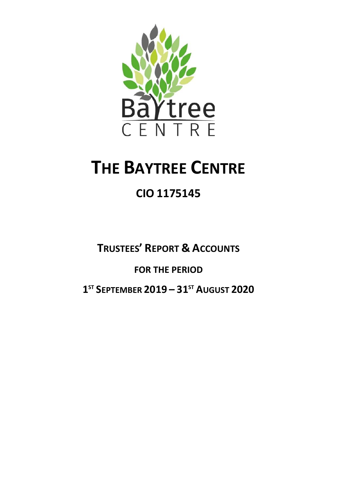

# **THE BAYTREE CENTRE**

# **CIO 1175145**

# **TRUSTEES' REPORT & ACCOUNTS FOR THE PERIOD 1 ST SEPTEMBER 2019 – 31ST AUGUST 2020**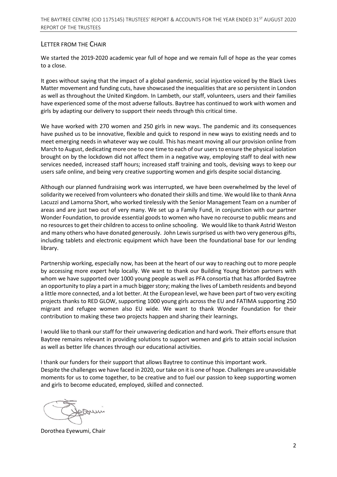#### LETTER FROM THE CHAIR

We started the 2019-2020 academic year full of hope and we remain full of hope as the year comes to a close.

It goes without saying that the impact of a global pandemic, social injustice voiced by the Black Lives Matter movement and funding cuts, have showcased the inequalities that are so persistent in London as well as throughout the United Kingdom. In Lambeth, our staff, volunteers, users and their families have experienced some of the most adverse fallouts. Baytree has continued to work with women and girls by adapting our delivery to support their needs through this critical time.

We have worked with 270 women and 250 girls in new ways. The pandemic and its consequences have pushed us to be innovative, flexible and quick to respond in new ways to existing needs and to meet emerging needs in whatever way we could. This has meant moving all our provision online from March to August, dedicating more one to one time to each of our usersto ensure the physical isolation brought on by the lockdown did not affect them in a negative way, employing staff to deal with new services needed, increased staff hours; increased staff training and tools, devising ways to keep our users safe online, and being very creative supporting women and girls despite social distancing.

Although our planned fundraising work was interrupted, we have been overwhelmed by the level of solidarity we received from volunteers who donated their skills and time. We would like to thank Anna Lacuzzi and Lamorna Short, who worked tirelessly with the Senior Management Team on a number of areas and are just two out of very many. We set up a Family Fund, in conjunction with our partner Wonder Foundation, to provide essential goods to women who have no recourse to public means and no resources to get their children to access to online schooling. We would like to thank Astrid Weston and many others who have donated generously. John Lewis surprised us with two very generous gifts, including tablets and electronic equipment which have been the foundational base for our lending library.

Partnership working, especially now, has been at the heart of our way to reaching out to more people by accessing more expert help locally. We want to thank our Building Young Brixton partners with whom we have supported over 1000 young people as well as PFA consortia that has afforded Baytree an opportunity to play a part in a much bigger story; making the lives of Lambeth residents and beyond a little more connected, and a lot better. At the European level, we have been part of two very exciting projects thanks to RED GLOW, supporting 1000 young girls across the EU and FATIMA supporting 250 migrant and refugee women also EU wide. We want to thank Wonder Foundation for their contribution to making these two projects happen and sharing their learnings.

I would like to thank our staff for their unwavering dedication and hard work. Their efforts ensure that Baytree remains relevant in providing solutions to support women and girls to attain social inclusion as well as better life chances through our educational activities.

I thank our funders for their support that allows Baytree to continue this important work. Despite the challenges we have faced in 2020, our take on it is one of hope. Challenges are unavoidable moments for us to come together, to be creative and to fuel our passion to keep supporting women and girls to become educated, employed, skilled and connected.

mey

Dorothea Eyewumi, Chair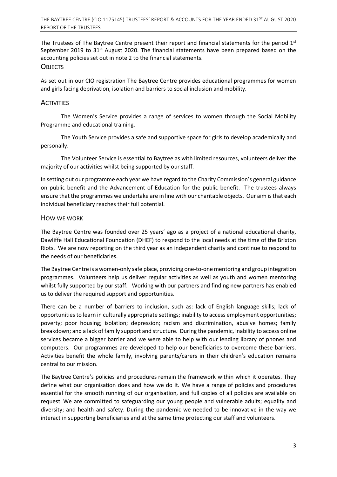The Trustees of The Baytree Centre present their report and financial statements for the period  $1<sup>st</sup>$ September 2019 to  $31<sup>st</sup>$  August 2020. The financial statements have been prepared based on the accounting policies set out in note 2 to the financial statements.

#### **OBJECTS**

As set out in our CIO registration The Baytree Centre provides educational programmes for women and girls facing deprivation, isolation and barriers to social inclusion and mobility.

#### **ACTIVITIES**

The Women's Service provides a range of services to women through the Social Mobility Programme and educational training.

The Youth Service provides a safe and supportive space for girls to develop academically and personally.

The Volunteer Service is essential to Baytree as with limited resources, volunteers deliver the majority of our activities whilst being supported by our staff.

In setting out our programme each year we have regard to the Charity Commission's general guidance on public benefit and the Advancement of Education for the public benefit. The trustees always ensure that the programmes we undertake are in line with our charitable objects. Our aim is that each individual beneficiary reaches their full potential.

#### HOW WE WORK

The Baytree Centre was founded over 25 years' ago as a project of a national educational charity, Dawliffe Hall Educational Foundation (DHEF) to respond to the local needs at the time of the Brixton Riots. We are now reporting on the third year as an independent charity and continue to respond to the needs of our beneficiaries.

The Baytree Centre is a women-only safe place, providing one-to-one mentoring and group integration programmes. Volunteers help us deliver regular activities as well as youth and women mentoring whilst fully supported by our staff. Working with our partners and finding new partners has enabled us to deliver the required support and opportunities.

There can be a number of barriers to inclusion, such as: lack of English language skills; lack of opportunities to learn in culturally appropriate settings; inability to access employment opportunities; poverty; poor housing; isolation; depression; racism and discrimination, abusive homes; family breakdown; and a lack of family support and structure. During the pandemic, inability to access online services became a bigger barrier and we were able to help with our lending library of phones and computers. Our programmes are developed to help our beneficiaries to overcome these barriers. Activities benefit the whole family, involving parents/carers in their children's education remains central to our mission.

The Baytree Centre's policies and procedures remain the framework within which it operates. They define what our organisation does and how we do it. We have a range of policies and procedures essential for the smooth running of our organisation, and full copies of all policies are available on request. We are committed to safeguarding our young people and vulnerable adults; equality and diversity; and health and safety. During the pandemic we needed to be innovative in the way we interact in supporting beneficiaries and at the same time protecting our staff and volunteers.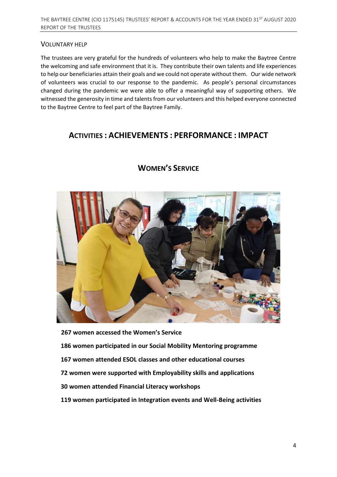#### VOLUNTARY HELP

The trustees are very grateful for the hundreds of volunteers who help to make the Baytree Centre the welcoming and safe environment that it is. They contribute their own talents and life experiences to help our beneficiaries attain their goals and we could not operate without them. Our wide network of volunteers was crucial to our response to the pandemic. As people's personal circumstances changed during the pandemic we were able to offer a meaningful way of supporting others. We witnessed the generosity in time and talents from our volunteers and this helped everyone connected to the Baytree Centre to feel part of the Baytree Family.

# **ACTIVITIES : ACHIEVEMENTS : PERFORMANCE : IMPACT**



# **WOMEN'S SERVICE**

**267 women accessed the Women's Service 186 women participated in our Social Mobility Mentoring programme 167 women attended ESOL classes and other educational courses 72 women were supported with Employability skills and applications 30 women attended Financial Literacy workshops 119 women participated in Integration events and Well-Being activities**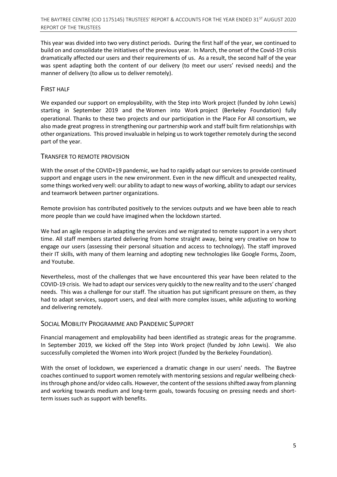This year was divided into two very distinct periods. During the first half of the year, we continued to build on and consolidate the initiatives of the previous year. In March, the onset of the Covid-19 crisis dramatically affected our users and their requirements of us. As a result, the second half of the year was spent adapting both the content of our delivery (to meet our users' revised needs) and the manner of delivery (to allow us to deliver remotely).

#### FIRST HALF

We expanded our support on employability, with the Step into Work project (funded by John Lewis) starting in September 2019 and the Women into Work project (Berkeley Foundation) fully operational. Thanks to these two projects and our participation in the Place For All consortium, we also made great progress in strengthening our partnership work and staff built firm relationships with other organizations. This proved invaluable in helping usto work together remotely during the second part of the year.

#### TRANSFER TO REMOTE PROVISION

With the onset of the COVID+19 pandemic, we had to rapidly adapt our services to provide continued support and engage users in the new environment. Even in the new difficult and unexpected reality, some things worked very well: our ability to adapt to new ways of working, ability to adapt ourservices and teamwork between partner organizations.

Remote provision has contributed positively to the services outputs and we have been able to reach more people than we could have imagined when the lockdown started.

We had an agile response in adapting the services and we migrated to remote support in a very short time. All staff members started delivering from home straight away, being very creative on how to engage our users (assessing their personal situation and access to technology). The staff improved their IT skills, with many of them learning and adopting new technologies like Google Forms, Zoom, and Youtube.

Nevertheless, most of the challenges that we have encountered this year have been related to the COVID-19 crisis. We had to adapt our services very quickly to the new reality and to the users' changed needs. This was a challenge for our staff. The situation has put significant pressure on them, as they had to adapt services, support users, and deal with more complex issues, while adjusting to working and delivering remotely.

#### SOCIAL MOBILITY PROGRAMME AND PANDEMIC SUPPORT

Financial management and employability had been identified as strategic areas for the programme. In September 2019, we kicked off the Step into Work project (funded by John Lewis). We also successfully completed the Women into Work project (funded by the Berkeley Foundation).

With the onset of lockdown, we experienced a dramatic change in our users' needs. The Baytree coaches continued to support women remotely with mentoring sessions and regular wellbeing checkinsthrough phone and/or video calls. However, the content ofthe sessionsshifted away from planning and working towards medium and long-term goals, towards focusing on pressing needs and shortterm issues such as support with benefits.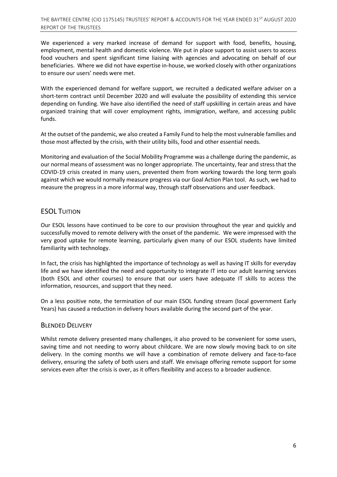We experienced a very marked increase of demand for support with food, benefits, housing, employment, mental health and domestic violence. We put in place support to assist users to access food vouchers and spent significant time liaising with agencies and advocating on behalf of our beneficiaries. Where we did not have expertise in-house, we worked closely with other organizations to ensure our users' needs were met.

With the experienced demand for welfare support, we recruited a dedicated welfare adviser on a short-term contract until December 2020 and will evaluate the possibility of extending this service depending on funding. We have also identified the need of staff upskilling in certain areas and have organized training that will cover employment rights, immigration, welfare, and accessing public funds.

At the outset of the pandemic, we also created a Family Fund to help the most vulnerable families and those most affected by the crisis, with their utility bills, food and other essential needs.

Monitoring and evaluation of the Social Mobility Programme was a challenge during the pandemic, as our normal means of assessment was no longer appropriate. The uncertainty, fear and stress that the COVID-19 crisis created in many users, prevented them from working towards the long term goals against which we would normally measure progress via our Goal Action Plan tool. As such, we had to measure the progress in a more informal way, through staff observations and user feedback.

#### ESOL TUITION

Our ESOL lessons have continued to be core to our provision throughout the year and quickly and successfully moved to remote delivery with the onset of the pandemic. We were impressed with the very good uptake for remote learning, particularly given many of our ESOL students have limited familiarity with technology.

In fact, the crisis has highlighted the importance of technology as well as having IT skills for everyday life and we have identified the need and opportunity to integrate IT into our adult learning services (both ESOL and other courses) to ensure that our users have adequate IT skills to access the information, resources, and support that they need.

On a less positive note, the termination of our main ESOL funding stream (local government Early Years) has caused a reduction in delivery hours available during the second part of the year.

#### BLENDED DELIVERY

Whilst remote delivery presented many challenges, it also proved to be convenient for some users, saving time and not needing to worry about childcare. We are now slowly moving back to on site delivery. In the coming months we will have a combination of remote delivery and face-to-face delivery, ensuring the safety of both users and staff. We envisage offering remote support for some services even after the crisis is over, as it offers flexibility and access to a broader audience.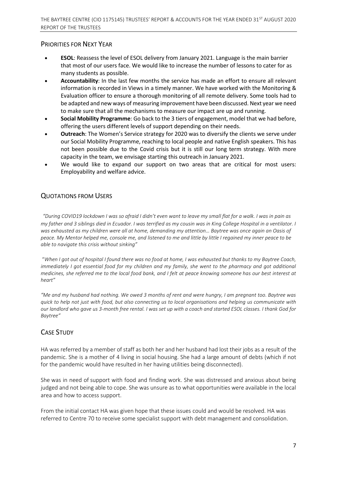# PRIORITIES FOR NEXT YEAR

- **ESOL**: Reassess the level of ESOL delivery from January 2021. Language is the main barrier that most of our users face. We would like to increase the number of lessons to cater for as many students as possible.
- **Accountability**: In the last few months the service has made an effort to ensure all relevant information is recorded in Views in a timely manner. We have worked with the Monitoring & Evaluation officer to ensure a thorough monitoring of all remote delivery. Some tools had to be adapted and new ways of measuring improvement have been discussed. Next year we need to make sure that all the mechanisms to measure our impact are up and running.
- **Social Mobility Programme**: Go back to the 3 tiers of engagement, model that we had before, offering the users different levels of support depending on their needs.
- **Outreach**: The Women's Service strategy for 2020 was to diversify the clients we serve under our Social Mobility Programme, reaching to local people and native English speakers. This has not been possible due to the Covid crisis but it is still our long term strategy. With more capacity in the team, we envisage starting this outreach in January 2021.
- We would like to expand our support on two areas that are critical for most users: Employability and welfare advice.

# QUOTATIONS FROM USERS

*"During COVID19 lockdown I was so afraid I didn't even want to leave my small flat for a walk. I was in pain as my father and 3 siblings died in Ecuador. I was terrified as my cousin was in King College Hospital in a ventilator. I was exhausted as my children were all at home, demanding my attention… Baytree was once again an Oasis of peace. My Mentor helped me, console me, and listened to me and little by little I regained my inner peace to be able to navigate this crisis without sinking"*

 "*When I got out of hospital I found there was no food at home, I was exhausted but thanks to my Baytree Coach, immediately I got essential food for my children and my family, she went to the pharmacy and got additional medicines, she referred me to the local food bank, and I felt at peace knowing someone has our best interest at heart"*

*"Me and my husband had nothing. We owed 3 months of rent and were hungry, I am pregnant too. Baytree was quick to help not just with food, but also connecting us to local organisations and helping us communicate with our landlord who gave us 3-month free rental. I was set up with a coach and started ESOL classes. I thank God for Baytree"*

# CASE STUDY

HA was referred by a member of staff as both her and her husband had lost their jobs as a result of the pandemic. She is a mother of 4 living in social housing. She had a large amount of debts (which if not for the pandemic would have resulted in her having utilities being disconnected).  

She was in need of support with food and finding work. She was distressed and anxious about being judged and not being able to cope. She was unsure as to what opportunities were available in the local area and how to access support.  

From the initial contact HA was given hope that these issues could and would be resolved. HA was referred to Centre 70 to receive some specialist support with debt management and consolidation.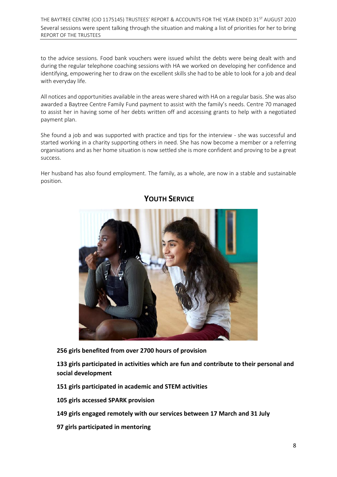THE BAYTREE CENTRE (CIO 1175145) TRUSTEES' REPORT & ACCOUNTS FOR THE YEAR ENDED 31<sup>ST</sup> AUGUST 2020 Several sessions were spent talking through the situation and making a list of priorities for her to bring REPORT OF THE TRUSTEES

to the advice sessions. Food bank vouchers were issued whilst the debts were being dealt with and during the regular telephone coaching sessions with HA we worked on developing her confidence and identifying, empowering her to draw on the excellent skills she had to be able to look for a job and deal with everyday life.  

All notices and opportunities available in the areas were shared with HA on a regular basis. She was also awarded a Baytree Centre Family Fund payment to assist with the family's needs. Centre 70 managed to assist her in having some of her debts written off and accessing grants to help with a negotiated payment plan.  

She found a job and was supported with practice and tips for the interview - she was successful and started working in a charity supporting others in need. She has now become a member or a referring organisations and as her home situation is now settled she is more confident and proving to be a great success. 

Her husband has also found employment. The family, as a whole, are now in a stable and sustainable position. 



# **YOUTH SERVICE**

**256 girls benefited from over 2700 hours of provision** 

**133 girls participated in activities which are fun and contribute to their personal and social development**

**151 girls participated in academic and STEM activities** 

**105 girls accessed SPARK provision** 

**149 girls engaged remotely with our services between 17 March and 31 July** 

**97 girls participated in mentoring**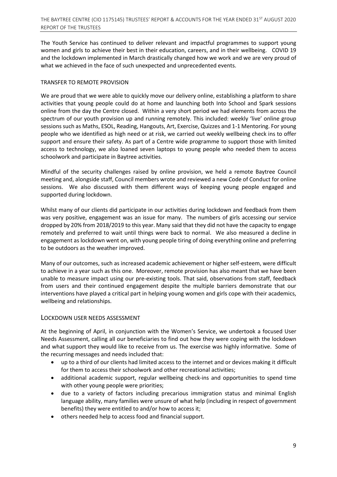The Youth Service has continued to deliver relevant and impactful programmes to support young women and girls to achieve their best in their education, careers, and in their wellbeing. COVID 19 and the lockdown implemented in March drastically changed how we work and we are very proud of what we achieved in the face of such unexpected and unprecedented events.

#### TRANSFER TO REMOTE PROVISION

We are proud that we were able to quickly move our delivery online, establishing a platform to share activities that young people could do at home and launching both Into School and Spark sessions online from the day the Centre closed. Within a very short period we had elements from across the spectrum of our youth provision up and running remotely. This included: weekly 'live' online group sessions such as Maths, ESOL, Reading, Hangouts, Art, Exercise, Quizzes and 1-1 Mentoring. For young people who we identified as high need or at risk, we carried out weekly wellbeing check ins to offer support and ensure their safety. As part of a Centre wide programme to support those with limited access to technology, we also loaned seven laptops to young people who needed them to access schoolwork and participate in Baytree activities.

Mindful of the security challenges raised by online provision, we held a remote Baytree Council meeting and, alongside staff, Council members wrote and reviewed a new Code of Conduct for online sessions. We also discussed with them different ways of keeping young people engaged and supported during lockdown.

Whilst many of our clients did participate in our activities during lockdown and feedback from them was very positive, engagement was an issue for many. The numbers of girls accessing our service dropped by 20% from 2018/2019 to this year. Many said that they did not have the capacity to engage remotely and preferred to wait until things were back to normal. We also measured a decline in engagement as lockdown went on, with young people tiring of doing everything online and preferring to be outdoors as the weather improved.

Many of our outcomes, such as increased academic achievement or higher self-esteem, were difficult to achieve in a year such as this one. Moreover, remote provision has also meant that we have been unable to measure impact using our pre-existing tools. That said, observations from staff, feedback from users and their continued engagement despite the multiple barriers demonstrate that our interventions have played a critical part in helping young women and girls cope with their academics, wellbeing and relationships.

#### LOCKDOWN USER NEEDS ASSESSMENT

At the beginning of April, in conjunction with the Women's Service, we undertook a focused User Needs Assessment, calling all our beneficiaries to find out how they were coping with the lockdown and what support they would like to receive from us. The exercise was highly informative. Some of the recurring messages and needs included that:

- up to a third of our clients had limited access to the internet and or devices making it difficult for them to access their schoolwork and other recreational activities;
- additional academic support, regular wellbeing check-ins and opportunities to spend time with other young people were priorities;
- due to a variety of factors including precarious immigration status and minimal English language ability, many families were unsure of what help (including in respect of government benefits) they were entitled to and/or how to access it;
- others needed help to access food and financial support.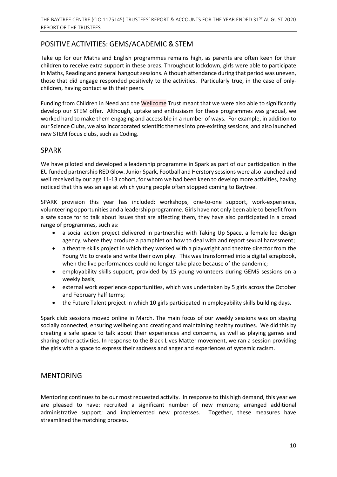# POSITIVE ACTIVITIES: GEMS/ACADEMIC & STEM

Take up for our Maths and English programmes remains high, as parents are often keen for their children to receive extra support in these areas. Throughout lockdown, girls were able to participate in Maths, Reading and general hangout sessions. Although attendance during that period was uneven, those that did engage responded positively to the activities. Particularly true, in the case of onlychildren, having contact with their peers.

Funding from Children in Need and the Wellcome Trust meant that we were also able to significantly develop our STEM offer. Although, uptake and enthusiasm for these programmes was gradual, we worked hard to make them engaging and accessible in a number of ways. For example, in addition to our Science Clubs, we also incorporated scientific themes into pre-existing sessions, and also launched new STEM focus clubs, such as Coding.

# SPARK

We have piloted and developed a leadership programme in Spark as part of our participation in the EU funded partnership RED Glow. Junior Spark, Football and Herstory sessions were also launched and well received by our age 11-13 cohort, for whom we had been keen to develop more activities, having noticed that this was an age at which young people often stopped coming to Baytree.

SPARK provision this year has included: workshops, one-to-one support, work-experience, volunteering opportunities and a leadership programme. Girls have not only been able to benefit from a safe space for to talk about issues that are affecting them, they have also participated in a broad range of programmes, such as:

- a social action project delivered in partnership with Taking Up Space, a female led design agency, where they produce a pamphlet on how to deal with and report sexual harassment;
- a theatre skills project in which they worked with a playwright and theatre director from the Young Vic to create and write their own play. This was transformed into a digital scrapbook, when the live performances could no longer take place because of the pandemic;
- employability skills support, provided by 15 young volunteers during GEMS sessions on a weekly basis;
- external work experience opportunities, which was undertaken by 5 girls across the October and February half terms;
- the Future Talent project in which 10 girls participated in employability skills building days.

Spark club sessions moved online in March. The main focus of our weekly sessions was on staying socially connected, ensuring wellbeing and creating and maintaining healthy routines. We did this by creating a safe space to talk about their experiences and concerns, as well as playing games and sharing other activities. In response to the Black Lives Matter movement, we ran a session providing the girls with a space to express their sadness and anger and experiences of systemic racism.

# MENTORING

Mentoring continues to be our most requested activity. In response to this high demand, this year we are pleased to have: recruited a significant number of new mentors; arranged additional administrative support; and implemented new processes. Together, these measures have streamlined the matching process.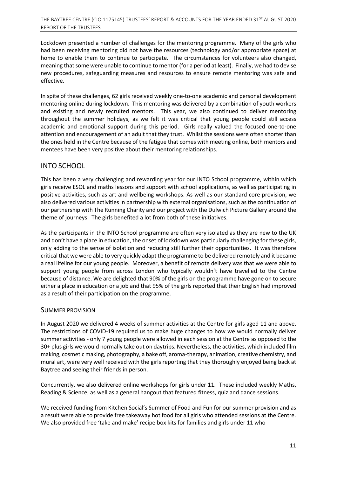Lockdown presented a number of challenges for the mentoring programme. Many of the girls who had been receiving mentoring did not have the resources (technology and/or appropriate space) at home to enable them to continue to participate. The circumstances for volunteers also changed, meaning that some were unable to continue to mentor (for a period at least). Finally, we had to devise new procedures, safeguarding measures and resources to ensure remote mentoring was safe and effective.

In spite of these challenges, 62 girls received weekly one-to-one academic and personal development mentoring online during lockdown. This mentoring was delivered by a combination of youth workers and existing and newly recruited mentors. This year, we also continued to deliver mentoring throughout the summer holidays, as we felt it was critical that young people could still access academic and emotional support during this period. Girls really valued the focused one-to-one attention and encouragement of an adult that they trust. Whilst the sessions were often shorter than the ones held in the Centre because of the fatigue that comes with meeting online, both mentors and mentees have been very positive about their mentoring relationships.

# INTO SCHOOL

This has been a very challenging and rewarding year for our INTO School programme, within which girls receive ESOL and maths lessons and support with school applications, as well as participating in positive activities, such as art and wellbeing workshops. As well as our standard core provision, we also delivered various activities in partnership with external organisations, such as the continuation of our partnership with The Running Charity and our project with the Dulwich Picture Gallery around the theme of journeys. The girls benefited a lot from both of these initiatives.

As the participants in the INTO School programme are often very isolated as they are new to the UK and don't have a place in education, the onset of lockdown was particularly challenging for these girls, only adding to the sense of isolation and reducing still further their opportunities. It was therefore critical that we were able to very quickly adapt the programme to be delivered remotely and it became a real lifeline for our young people. Moreover, a benefit of remote delivery was that we were able to support young people from across London who typically wouldn't have travelled to the Centre because of distance. We are delighted that 90% of the girls on the programme have gone on to secure either a place in education or a job and that 95% of the girls reported that their English had improved as a result of their participation on the programme.

#### SUMMER PROVISION

In August 2020 we delivered 4 weeks of summer activities at the Centre for girls aged 11 and above. The restrictions of COVID-19 required us to make huge changes to how we would normally deliver summer activities - only 7 young people were allowed in each session at the Centre as opposed to the 30+ plus girls we would normally take out on daytrips. Nevertheless, the activities, which included film making, cosmetic making, photography, a bake off, aroma-therapy, animation, creative chemistry, and mural art, were very well received with the girls reporting that they thoroughly enjoyed being back at Baytree and seeing their friends in person.

Concurrently, we also delivered online workshops for girls under 11. These included weekly Maths, Reading & Science, as well as a general hangout that featured fitness, quiz and dance sessions.

We received funding from Kitchen Social's Summer of Food and Fun for our summer provision and as a result were able to provide free takeaway hot food for all girls who attended sessions at the Centre. We also provided free 'take and make' recipe box kits for families and girls under 11 who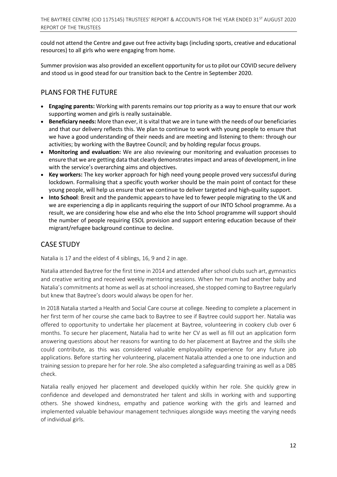could not attend the Centre and gave out free activity bags (including sports, creative and educational resources) to all girls who were engaging from home.

Summer provision was also provided an excellent opportunity for us to pilot our COVID secure delivery and stood us in good stead for our transition back to the Centre in September 2020.

# PLANS FOR THE FUTURE

- **Engaging parents:** Working with parents remains our top priority as a way to ensure that our work supporting women and girls is really sustainable.
- **Beneficiary needs:** More than ever, it is vital that we are in tune with the needs of our beneficiaries and that our delivery reflects this. We plan to continue to work with young people to ensure that we have a good understanding of their needs and are meeting and listening to them: through our activities; by working with the Baytree Council; and by holding regular focus groups.
- **Monitoring and evaluation:** We are also reviewing our monitoring and evaluation processes to ensure that we are getting data that clearly demonstratesimpact and areas of development, in line with the service's overarching aims and objectives.
- **Key workers:** The key worker approach for high need young people proved very successful during lockdown. Formalising that a specific youth worker should be the main point of contact for these young people, will help us ensure that we continue to deliver targeted and high-quality support.
- **Into School**: Brexit and the pandemic appears to have led to fewer people migrating to the UK and we are experiencing a dip in applicants requiring the support of our INTO School programme. As a result, we are considering how else and who else the Into School programme will support should the number of people requiring ESOL provision and support entering education because of their migrant/refugee background continue to decline.

# CASE STUDY

Natalia is 17 and the eldest of 4 siblings, 16, 9 and 2 in age.

Natalia attended Baytree for the first time in 2014 and attended after school clubs such art, gymnastics and creative writing and received weekly mentoring sessions. When her mum had another baby and Natalia's commitments at home as well as at school increased, she stopped coming to Baytree regularly but knew that Baytree's doors would always be open for her.

In 2018 Natalia started a Health and Social Care course at college. Needing to complete a placement in her first term of her course she came back to Baytree to see if Baytree could support her. Natalia was offered to opportunity to undertake her placement at Baytree, volunteering in cookery club over 6 months. To secure her placement, Natalia had to write her CV as well as fill out an application form answering questions about her reasons for wanting to do her placement at Baytree and the skills she could contribute, as this was considered valuable employability experience for any future job applications. Before starting her volunteering, placement Natalia attended a one to one induction and training session to prepare her for her role. She also completed a safeguarding training as well as a DBS check.

Natalia really enjoyed her placement and developed quickly within her role. She quickly grew in confidence and developed and demonstrated her talent and skills in working with and supporting others. She showed kindness, empathy and patience working with the girls and learned and implemented valuable behaviour management techniques alongside ways meeting the varying needs of individual girls.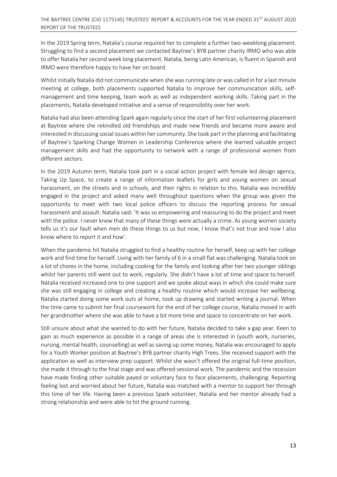In the 2019 Spring term, Natalia's course required her to complete a further two-weeklong placement. Struggling to find a second placement we contacted Baytree's BYB partner charity IRMO who was able to offer Natalia her second week long placement. Natalia, being Latin American, is fluent in Spanish and IRMO were therefore happy to have her on board.

Whilst initially Natalia did not communicate when she was running late or was called in for a last minute meeting at college, both placements supported Natalia to improve her communication skills, selfmanagement and time keeping, team work as well as independent working skills. Taking part in the placements, Natalia developed initiative and a sense of responsibility over her work.

Natalia had also been attending Spark again regularly since the start of her first volunteering placement at Baytree where she rekindled old friendships and made new friends and became more aware and interested in discussing social issues within her community. She took part in the planning and facilitating of Baytree's Sparking Change Women in Leadership Conference where she learned valuable project management skills and had the opportunity to network with a range of professional women from different sectors.

In the 2019 Autumn term, Natalia took part in a social action project with female led design agency, Taking Up Space, to create a range of information leaflets for girls and young women on sexual harassment, on the streets and in schools, and their rights in relation to this. Natalia was incredibly engaged in the project and asked many well throughout questions when the group was given the opportunity to meet with two local police officers to discuss the reporting process for sexual harassment and assault. Natalia said: 'It was so empowering and reassuring to do the project and meet with the police. I never knew that many of these things were actually a crime. As young women society tells us it's our fault when men do these things to us but now, I know that's not true and now I also know where to report it and how'.

When the pandemic hit Natalia struggled to find a healthy routine for herself, keep up with her college work and find time for herself. Living with her family of 6 in a small flat was challenging. Natalia took on a lot of chores in the home, including cooking for the family and looking after her two younger siblings whilst her parents still went out to work, regularly. She didn't have a lot of time and space to herself. Natalia received increased one to one support and we spoke about ways in which she could make sure she was still engaging in college and creating a healthy routine which would increase her wellbeing. Natalia started doing some work outs at home, took up drawing and started writing a journal. When the time came to submit her final coursework for the end of her college course, Natalia moved in with her grandmother where she was able to have a bit more time and space to concentrate on her work.

Still unsure about what she wanted to do with her future, Natalia decided to take a gap year. Keen to gain as much experience as possible in a range of areas she is interested in (youth work, nurseries, nursing, mental health, counselling) as well as saving up some money, Natalia was encouraged to apply for a Youth Worker position at Baytree's BYB partner charity High Trees. She received support with the application as well as interview prep support. Whilst she wasn't offered the original full-time position, she made it through to the final stage and was offered sessional work. The pandemic and the recession have made finding other suitable payed or voluntary face to face placements, challenging. Reporting feeling lost and worried about her future, Natalia was matched with a mentor to support her through this time of her life. Having been a previous Spark volunteer, Natalia and her mentor already had a strong relationship and were able to hit the ground running.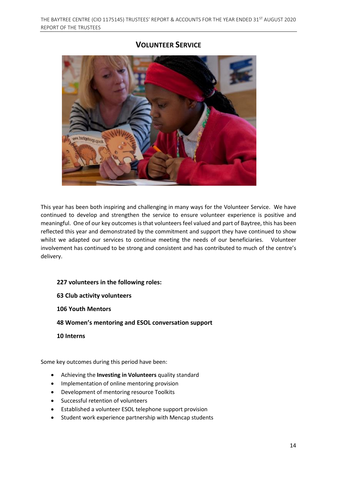# **VOLUNTEER SERVICE**



This year has been both inspiring and challenging in many ways for the Volunteer Service. We have continued to develop and strengthen the service to ensure volunteer experience is positive and meaningful. One of our key outcomes is that volunteers feel valued and part of Baytree, this has been reflected this year and demonstrated by the commitment and support they have continued to show whilst we adapted our services to continue meeting the needs of our beneficiaries. Volunteer involvement has continued to be strong and consistent and has contributed to much of the centre's delivery.

#### **227 volunteers in the following roles:**

**63 Club activity volunteers**

**106 Youth Mentors**

**48 Women's mentoring and ESOL conversation support**

**10 Interns**

Some key outcomes during this period have been:

- Achieving the **Investing in Volunteers** quality standard
- Implementation of online mentoring provision
- Development of mentoring resource Toolkits
- Successful retention of volunteers
- Established a volunteer ESOL telephone support provision
- Student work experience partnership with Mencap students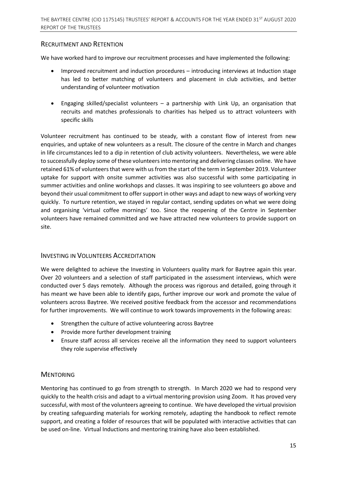#### RECRUITMENT AND RETENTION

We have worked hard to improve our recruitment processes and have implemented the following:

- Improved recruitment and induction procedures introducing interviews at Induction stage has led to better matching of volunteers and placement in club activities, and better understanding of volunteer motivation
- Engaging skilled/specialist volunteers a partnership with Link Up, an organisation that recruits and matches professionals to charities has helped us to attract volunteers with specific skills

Volunteer recruitment has continued to be steady, with a constant flow of interest from new enquiries, and uptake of new volunteers as a result. The closure of the centre in March and changes in life circumstances led to a dip in retention of club activity volunteers. Nevertheless, we were able to successfully deploy some of these volunteers into mentoring and delivering classes online. We have retained 61% of volunteers that were with us from the start of the term in September 2019. Volunteer uptake for support with onsite summer activities was also successful with some participating in summer activities and online workshops and classes. It was inspiring to see volunteers go above and beyond their usual commitment to offersupport in other ways and adapt to new ways of working very quickly. To nurture retention, we stayed in regular contact, sending updates on what we were doing and organising 'virtual coffee mornings' too. Since the reopening of the Centre in September volunteers have remained committed and we have attracted new volunteers to provide support on site.

#### INVESTING IN VOLUNTEERS ACCREDITATION

We were delighted to achieve the Investing in Volunteers quality mark for Baytree again this year. Over 20 volunteers and a selection of staff participated in the assessment interviews, which were conducted over 5 days remotely. Although the process was rigorous and detailed, going through it has meant we have been able to identify gaps, further improve our work and promote the value of volunteers across Baytree. We received positive feedback from the accessor and recommendations for further improvements. We will continue to work towards improvements in the following areas:

- Strengthen the culture of active volunteering across Baytree
- Provide more further development training
- Ensure staff across all services receive all the information they need to support volunteers they role supervise effectively

#### **MENTORING**

Mentoring has continued to go from strength to strength. In March 2020 we had to respond very quickly to the health crisis and adapt to a virtual mentoring provision using Zoom. It has proved very successful, with most of the volunteers agreeing to continue. We have developed the virtual provision by creating safeguarding materials for working remotely, adapting the handbook to reflect remote support, and creating a folder of resources that will be populated with interactive activities that can be used on-line. Virtual Inductions and mentoring training have also been established.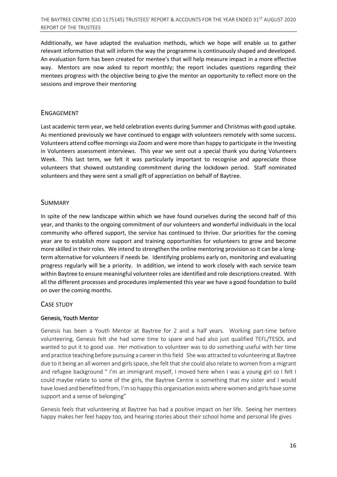Additionally, we have adapted the evaluation methods, which we hope will enable us to gather relevant information that will inform the way the programme is continuously shaped and developed. An evaluation form has been created for mentee's that will help measure impact in a more effective way. Mentors are now asked to report monthly; the report includes questions regarding their mentees progress with the objective being to give the mentor an opportunity to reflect more on the sessions and improve their mentoring

#### ENGAGEMENT

Last academic term year, we held celebration events during Summer and Christmas with good uptake. As mentioned previously we have continued to engage with volunteers remotely with some success. Volunteers attend coffee mornings via Zoom and were more than happy to participate in the Investing in Volunteers assessment interviews. This year we sent out a special thank you during Volunteers Week. This last term, we felt it was particularly important to recognise and appreciate those volunteers that showed outstanding commitment during the lockdown period. Staff nominated volunteers and they were sent a small gift of appreciation on behalf of Baytree.

#### SUMMARY

In spite of the new landscape within which we have found ourselves during the second half of this year, and thanks to the ongoing commitment of our volunteers and wonderful individuals in the local community who offered support, the service has continued to thrive. Our priorities for the coming year are to establish more support and training opportunities for volunteers to grow and become more skilled in their roles. We intend to strengthen the online mentoring provision so it can be a longterm alternative for volunteers if needs be. Identifying problems early on, monitoring and evaluating progress regularly will be a priority. In addition, we intend to work closely with each service team within Baytree to ensure meaningful volunteer roles are identified and role descriptions created. With all the different processes and procedures implemented this year we have a good foundation to build on over the coming months.

#### CASE STUDY

#### Genesis, Youth Mentor

Genesis has been a Youth Mentor at Baytree for 2 and a half years. Working part-time before volunteering, Genesis felt she had some time to spare and had also just qualified TEFL/TESOL and wanted to put it to good use. Her motivation to volunteer was to do something useful with her time and practice teaching before pursuing a career in thisfield She was attracted to volunteering at Baytree due to it being an all women and girls space, she felt that she could also relate to women from a migrant and refugee background " I'm an immigrant myself, I moved here when I was a young girl so I felt I could maybe relate to some of the girls, the Baytree Centre is something that my sister and I would have loved and benefitted from, I'm so happy this organisation exists where women and girls have some support and a sense of belonging"

Genesis feels that volunteering at Baytree has had a positive impact on her life. Seeing her mentees happy makes her feel happy too, and hearing stories about their school home and personal life gives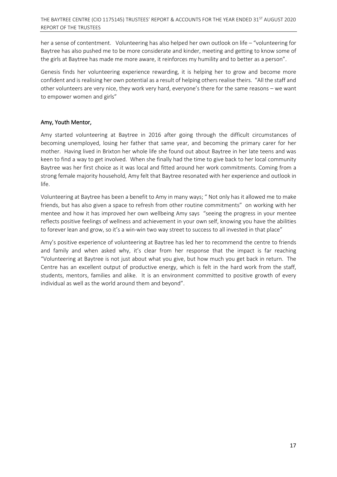her a sense of contentment. Volunteering has also helped her own outlook on life – "volunteering for Baytree has also pushed me to be more considerate and kinder, meeting and getting to know some of the girls at Baytree has made me more aware, it reinforces my humility and to better as a person".

Genesis finds her volunteering experience rewarding, it is helping her to grow and become more confident and is realising her own potential as a result of helping others realise theirs. "All the staff and other volunteers are very nice, they work very hard, everyone's there for the same reasons – we want to empower women and girls"

#### Amy, Youth Mentor,

Amy started volunteering at Baytree in 2016 after going through the difficult circumstances of becoming unemployed, losing her father that same year, and becoming the primary carer for her mother. Having lived in Brixton her whole life she found out about Baytree in her late teens and was keen to find a way to get involved. When she finally had the time to give back to her local community Baytree was her first choice as it was local and fitted around her work commitments. Coming from a strong female majority household, Amy felt that Baytree resonated with her experience and outlook in life.

Volunteering at Baytree has been a benefit to Amy in many ways; " Not only has it allowed me to make friends, but has also given a space to refresh from other routine commitments" on working with her mentee and how it has improved her own wellbeing Amy says "seeing the progress in your mentee reflects positive feelings of wellness and achievement in your own self, knowing you have the abilities to forever lean and grow, so it's a win-win two way street to success to all invested in that place"

Amy's positive experience of volunteering at Baytree has led her to recommend the centre to friends and family and when asked why, it's clear from her response that the impact is far reaching "Volunteering at Baytree is not just about what you give, but how much you get back in return. The Centre has an excellent output of productive energy, which is felt in the hard work from the staff, students, mentors, families and alike. It is an environment committed to positive growth of every individual as well as the world around them and beyond".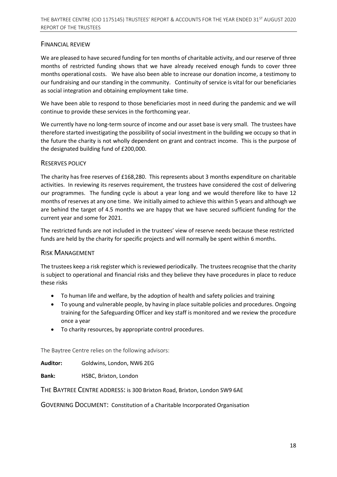## FINANCIAL REVIEW

We are pleased to have secured funding for ten months of charitable activity, and our reserve of three months of restricted funding shows that we have already received enough funds to cover three months operational costs. We have also been able to increase our donation income, a testimony to our fundraising and our standing in the community. Continuity of service is vital for our beneficiaries as social integration and obtaining employment take time.

We have been able to respond to those beneficiaries most in need during the pandemic and we will continue to provide these services in the forthcoming year.

We currently have no long-term source of income and our asset base is very small. The trustees have therefore started investigating the possibility of social investment in the building we occupy so that in the future the charity is not wholly dependent on grant and contract income. This is the purpose of the designated building fund of £200,000.

#### RESERVES POLICY

The charity has free reserves of £168,280. This represents about 3 months expenditure on charitable activities. In reviewing its reserves requirement, the trustees have considered the cost of delivering our programmes. The funding cycle is about a year long and we would therefore like to have 12 months of reserves at any one time. We initially aimed to achieve this within 5 years and although we are behind the target of 4.5 months we are happy that we have secured sufficient funding for the current year and some for 2021.

The restricted funds are not included in the trustees' view of reserve needs because these restricted funds are held by the charity for specific projects and will normally be spent within 6 months.

#### RISK MANAGEMENT

The trustees keep a risk register which is reviewed periodically. The trustees recognise that the charity is subject to operational and financial risks and they believe they have procedures in place to reduce these risks

- To human life and welfare, by the adoption of health and safety policies and training
- To young and vulnerable people, by having in place suitable policies and procedures. Ongoing training for the Safeguarding Officer and key staff is monitored and we review the procedure once a year
- To charity resources, by appropriate control procedures.

The Baytree Centre relies on the following advisors:

**Auditor:** Goldwins, London, NW6 2EG

**Bank:** HSBC, Brixton, London

THE BAYTREE CENTRE ADDRESS: is 300 Brixton Road, Brixton, London SW9 6AE

GOVERNING DOCUMENT: Constitution of a Charitable Incorporated Organisation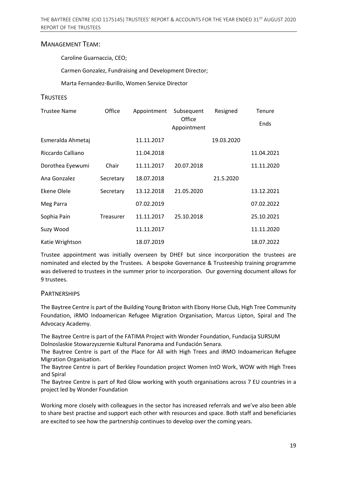#### MANAGEMENT TEAM:

Caroline Guarnaccia, CEO;

Carmen Gonzalez, Fundraising and Development Director;

Marta Fernandez-Burillo, Women Service Director

#### **TRUSTEES**

| <b>Trustee Name</b> | Office    | Appointment | Subsequent            | Resigned   | Tenure     |
|---------------------|-----------|-------------|-----------------------|------------|------------|
|                     |           |             | Office<br>Appointment |            | Ends       |
| Esmeralda Ahmetaj   |           | 11.11.2017  |                       | 19.03.2020 |            |
| Riccardo Calliano   |           | 11.04.2018  |                       |            | 11.04.2021 |
| Dorothea Eyewumi    | Chair     | 11.11.2017  | 20.07.2018            |            | 11.11.2020 |
| Ana Gonzalez        | Secretary | 18.07.2018  |                       | 21.5.2020  |            |
| Ekene Olele         | Secretary | 13.12.2018  | 21.05.2020            |            | 13.12.2021 |
| Meg Parra           |           | 07.02.2019  |                       |            | 07.02.2022 |
| Sophia Pain         | Treasurer | 11.11.2017  | 25.10.2018            |            | 25.10.2021 |
| Suzy Wood           |           | 11.11.2017  |                       |            | 11.11.2020 |
| Katie Wrightson     |           | 18.07.2019  |                       |            | 18.07.2022 |

Trustee appointment was initially overseen by DHEF but since incorporation the trustees are nominated and elected by the Trustees. A bespoke Governance & Trusteeship training programme was delivered to trustees in the summer prior to incorporation. Our governing document allows for 9 trustees.

#### **PARTNERSHIPS**

The Baytree Centre is part of the Building Young Brixton with Ebony Horse Club, High Tree Community Foundation, iRMO Indoamerican Refugee Migration Organisation, Marcus Lipton, Spiral and The Advocacy Academy.

The Baytree Centre is part of the FATIMA Project with Wonder Foundation, Fundacija SURSUM Dolnoslaskie Stowarzyszernie Kultural Panorama and Fundación Senara.

The Baytree Centre is part of the Place for All with High Trees and iRMO Indoamerican Refugee Migration Organisation.

The Baytree Centre is part of Berkley Foundation project Women IntO Work, WOW with High Trees and Spiral

The Baytree Centre is part of Red Glow working with youth organisations across 7 EU countries in a project led by Wonder Foundation

Working more closely with colleagues in the sector has increased referrals and we've also been able to share best practise and support each other with resources and space. Both staff and beneficiaries are excited to see how the partnership continues to develop over the coming years.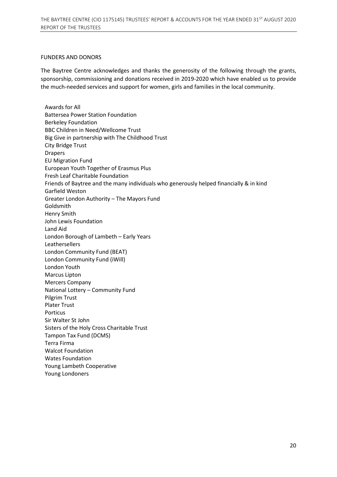#### FUNDERS AND DONORS

The Baytree Centre acknowledges and thanks the generosity of the following through the grants, sponsorship, commissioning and donations received in 2019-2020 which have enabled us to provide the much-needed services and support for women, girls and families in the local community.

Awards for All Battersea Power Station Foundation Berkeley Foundation BBC Children in Need/Wellcome Trust Big Give in partnership with The Childhood Trust City Bridge Trust Drapers EU Migration Fund European Youth Together of Erasmus Plus Fresh Leaf Charitable Foundation Friends of Baytree and the many individuals who generously helped financially & in kind Garfield Weston Greater London Authority – The Mayors Fund Goldsmith Henry Smith John Lewis Foundation Land Aid London Borough of Lambeth – Early Years Leathersellers London Community Fund (BEAT) London Community Fund (iWill) London Youth Marcus Lipton Mercers Company National Lottery – Community Fund Pilgrim Trust Plater Trust Porticus Sir Walter St John Sisters of the Holy Cross Charitable Trust Tampon Tax Fund (DCMS) Terra Firma Walcot Foundation Wates Foundation Young Lambeth Cooperative Young Londoners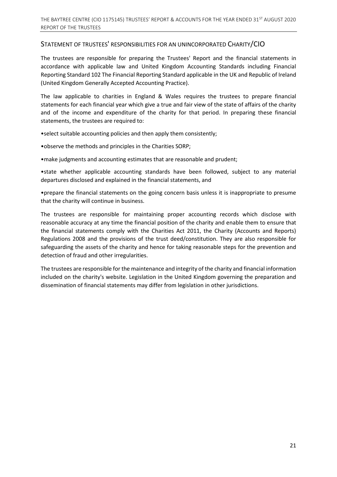#### STATEMENT OF TRUSTEES' RESPONSIBILITIES FOR AN UNINCORPORATED CHARITY/CIO

The trustees are responsible for preparing the Trustees' Report and the financial statements in accordance with applicable law and United Kingdom Accounting Standards including Financial Reporting Standard 102 The Financial Reporting Standard applicable in the UK and Republic of Ireland (United Kingdom Generally Accepted Accounting Practice).

The law applicable to charities in England & Wales requires the trustees to prepare financial statements for each financial year which give a true and fair view of the state of affairs of the charity and of the income and expenditure of the charity for that period. In preparing these financial statements, the trustees are required to:

•select suitable accounting policies and then apply them consistently;

•observe the methods and principles in the Charities SORP;

•make judgments and accounting estimates that are reasonable and prudent;

•state whether applicable accounting standards have been followed, subject to any material departures disclosed and explained in the financial statements, and

•prepare the financial statements on the going concern basis unless it is inappropriate to presume that the charity will continue in business.

The trustees are responsible for maintaining proper accounting records which disclose with reasonable accuracy at any time the financial position of the charity and enable them to ensure that the financial statements comply with the Charities Act 2011, the Charity (Accounts and Reports) Regulations 2008 and the provisions of the trust deed/constitution. They are also responsible for safeguarding the assets of the charity and hence for taking reasonable steps for the prevention and detection of fraud and other irregularities.

The trustees are responsible for the maintenance and integrity of the charity and financial information included on the charity's website. Legislation in the United Kingdom governing the preparation and dissemination of financial statements may differ from legislation in other jurisdictions.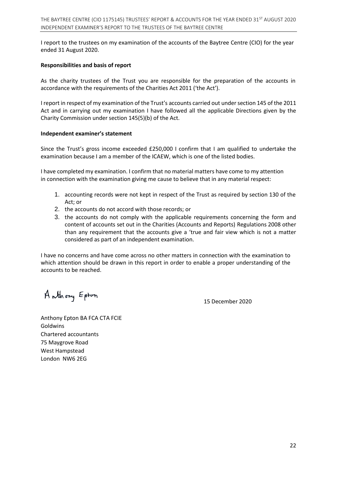I report to the trustees on my examination of the accounts of the Baytree Centre (CIO) for the year ended 31 August 2020.

#### **Responsibilities and basis of report**

As the charity trustees of the Trust you are responsible for the preparation of the accounts in accordance with the requirements of the Charities Act 2011 ('the Act').

I report in respect of my examination of the Trust's accounts carried out under section 145 of the 2011 Act and in carrying out my examination I have followed all the applicable Directions given by the Charity Commission under section 145(5)(b) of the Act.

#### **Independent examiner's statement**

Since the Trust's gross income exceeded £250,000 I confirm that I am qualified to undertake the examination because I am a member of the ICAEW, which is one of the listed bodies.

I have completed my examination. I confirm that no material matters have come to my attention in connection with the examination giving me cause to believe that in any material respect:

- 1. accounting records were not kept in respect of the Trust as required by section 130 of the Act; or
- 2. the accounts do not accord with those records; or
- 3. the accounts do not comply with the applicable requirements concerning the form and content of accounts set out in the Charities (Accounts and Reports) Regulations 2008 other than any requirement that the accounts give a 'true and fair view which is not a matter considered as part of an independent examination.

I have no concerns and have come across no other matters in connection with the examination to which attention should be drawn in this report in order to enable a proper understanding of the accounts to be reached.

Anthony Epton

15 December 2020

Anthony Epton BA FCA CTA FCIE Goldwins Chartered accountants 75 Maygrove Road West Hampstead London NW6 2EG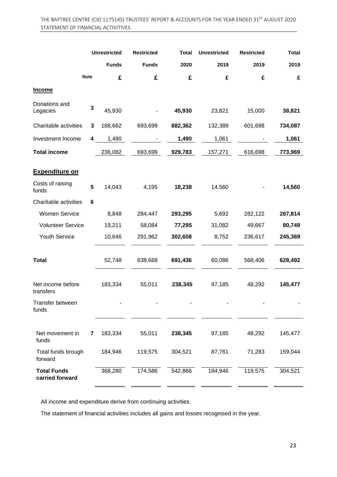|                                       |             | <b>Unrestricted</b> | <b>Restricted</b> | Total   | <b>Unrestricted</b> | <b>Restricted</b> | <b>Total</b> |
|---------------------------------------|-------------|---------------------|-------------------|---------|---------------------|-------------------|--------------|
|                                       |             | <b>Funds</b>        | <b>Funds</b>      | 2020    | 2019                | 2019              | 2019         |
|                                       | <b>Note</b> | £                   | £                 | £       | £                   | £                 | £            |
| <b>Income</b>                         |             |                     |                   |         |                     |                   |              |
| Donations and<br>Legacies             | 3           | 45,930              |                   | 45,930  | 23,821              | 15,000            | 38,821       |
| Charitable activities                 | 3           | 188,662             | 693,699           | 882,362 | 132,389             | 601,698           | 734,087      |
| Investment Income                     | 4           | 1,490               |                   | 1,490   | 1,061               |                   | 1,061        |
| <b>Total income</b>                   |             | 236,082             | 693,699           | 929,783 | 157,271             | 616,698           | 773,969      |
| <b>Expenditure on</b>                 |             |                     |                   |         |                     |                   |              |
| Costs of raising<br>funds             | 5           | 14,043              | 4,195             | 18,238  | 14,560              |                   | 14,560       |
| Charitable activities                 | 6           |                     |                   |         |                     |                   |              |
| <b>Women Service</b>                  |             | 8,848               | 284,447           | 293,295 | 5,692               | 282,122           | 287,814      |
| <b>Volunteer Service</b>              |             | 19,211              | 58,084            | 77,295  | 31,082              | 49,667            | 80,749       |
| Youth Service                         |             | 10,646              | 291,962           | 302,608 | 8,752               | 236,617           | 245,369      |
| <b>Total</b>                          |             | 52,748              | 638,688           | 691,436 | 60,086              | 568,406           | 628,492      |
| Net income before<br>transfers        |             | 183,334             | 55,011            | 238,345 | 97,185              | 48,292            | 145,477      |
| Transfer between<br>funds             |             |                     |                   |         |                     |                   |              |
| Net movement in<br>funds              | 7           | 183,334             | 55,011            | 238,345 | 97,185              | 48,292            | 145,477      |
| Total funds brough<br>forward         |             | 184,946             | 119,575           | 304,521 | 87,761              | 71,283            | 159,044      |
| <b>Total Funds</b><br>carried forward |             | 368,280             | 174,586           | 542,866 | 184,946             | 119,575           | 304,521      |

All income and expenditure derive from continuing activities.

The statement of financial activities includes all gains and losses recognised in the year.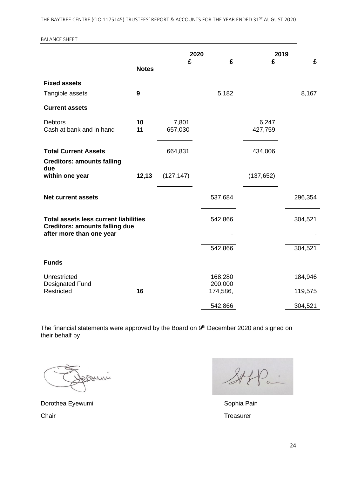THE BAYTREE CENTRE (CIO 1175145) TRUSTEES' REPORT & ACCOUNTS FOR THE YEAR ENDED 31<sup>ST</sup> AUGUST 2020

#### BALANCE SHEET

|                                                                                       |              |                  | 2020                |                  | 2019    |
|---------------------------------------------------------------------------------------|--------------|------------------|---------------------|------------------|---------|
|                                                                                       | <b>Notes</b> | £                | £                   | £                | £       |
| <b>Fixed assets</b>                                                                   |              |                  |                     |                  |         |
| Tangible assets                                                                       | 9            |                  | 5,182               |                  | 8,167   |
| <b>Current assets</b>                                                                 |              |                  |                     |                  |         |
| <b>Debtors</b><br>Cash at bank and in hand                                            | 10<br>11     | 7,801<br>657,030 |                     | 6,247<br>427,759 |         |
| <b>Total Current Assets</b>                                                           |              | 664,831          |                     | 434,006          |         |
| <b>Creditors: amounts falling</b><br>due                                              |              |                  |                     |                  |         |
| within one year                                                                       | 12,13        | (127, 147)       |                     | (137, 652)       |         |
| <b>Net current assets</b>                                                             |              |                  | 537,684             |                  | 296,354 |
| <b>Total assets less current liabilities</b><br><b>Creditors: amounts falling due</b> |              |                  | 542,866             |                  | 304,521 |
| after more than one year                                                              |              |                  |                     |                  |         |
|                                                                                       |              |                  | 542,866             |                  | 304,521 |
| <b>Funds</b>                                                                          |              |                  |                     |                  |         |
| Unrestricted                                                                          |              |                  | 168,280             |                  | 184,946 |
| <b>Designated Fund</b><br>Restricted                                                  | 16           |                  | 200,000<br>174,586, |                  | 119,575 |
|                                                                                       |              |                  | 542,866             |                  | 304,521 |
|                                                                                       |              |                  |                     |                  |         |

The financial statements were approved by the Board on 9<sup>th</sup> December 2020 and signed on their behalf by

munt

Dorothea Eyewumi **Sophia Pain** Sophia Pain Chair **Treasurer** Chair **Treasurer** 

 $\frac{2}{\sqrt{2}}$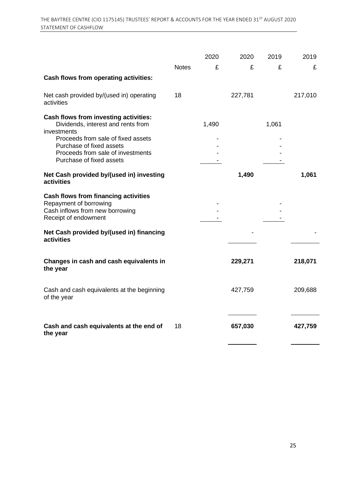|                                                                                                                                                                                                                               |              | 2020  | 2020    | 2019  | 2019    |
|-------------------------------------------------------------------------------------------------------------------------------------------------------------------------------------------------------------------------------|--------------|-------|---------|-------|---------|
|                                                                                                                                                                                                                               | <b>Notes</b> | £     | £       | £     | £       |
| Cash flows from operating activities:                                                                                                                                                                                         |              |       |         |       |         |
| Net cash provided by/(used in) operating<br>activities                                                                                                                                                                        | 18           |       | 227,781 |       | 217,010 |
| Cash flows from investing activities:<br>Dividends, interest and rents from<br>investments<br>Proceeds from sale of fixed assets<br>Purchase of fixed assets<br>Proceeds from sale of investments<br>Purchase of fixed assets |              | 1,490 |         | 1,061 |         |
| Net Cash provided by/(used in) investing<br>activities                                                                                                                                                                        |              |       | 1,490   |       | 1,061   |
| <b>Cash flows from financing activities</b><br>Repayment of borrowing<br>Cash inflows from new borrowing<br>Receipt of endowment                                                                                              |              |       |         |       |         |
| Net Cash provided by/(used in) financing<br>activities                                                                                                                                                                        |              |       |         |       |         |
| Changes in cash and cash equivalents in<br>the year                                                                                                                                                                           |              |       | 229,271 |       | 218,071 |
| Cash and cash equivalents at the beginning<br>of the year                                                                                                                                                                     |              |       | 427,759 |       | 209,688 |
| Cash and cash equivalents at the end of<br>the year                                                                                                                                                                           | 18           |       | 657,030 |       | 427,759 |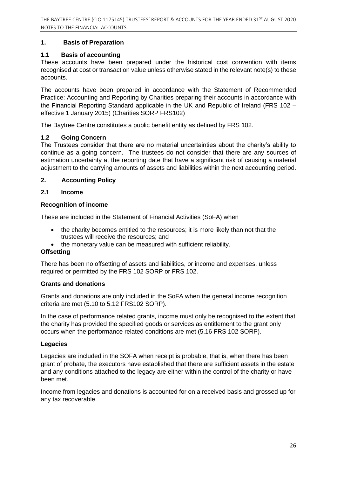#### **1. Basis of Preparation**

#### **1.1 Basis of accounting**

These accounts have been prepared under the historical cost convention with items recognised at cost or transaction value unless otherwise stated in the relevant note(s) to these accounts.

The accounts have been prepared in accordance with the Statement of Recommended Practice: Accounting and Reporting by Charities preparing their accounts in accordance with the Financial Reporting Standard applicable in the UK and Republic of Ireland (FRS 102 – effective 1 January 2015) (Charities SORP FRS102)

The Baytree Centre constitutes a public benefit entity as defined by FRS 102.

#### **1.2 Going Concern**

The Trustees consider that there are no material uncertainties about the charity's ability to continue as a going concern. The trustees do not consider that there are any sources of estimation uncertainty at the reporting date that have a significant risk of causing a material adjustment to the carrying amounts of assets and liabilities within the next accounting period.

#### **2. Accounting Policy**

#### **2.1 Income**

#### **Recognition of income**

These are included in the Statement of Financial Activities (SoFA) when

- the charity becomes entitled to the resources; it is more likely than not that the trustees will receive the resources; and
- the monetary value can be measured with sufficient reliability.

# **Offsetting**

There has been no offsetting of assets and liabilities, or income and expenses, unless required or permitted by the FRS 102 SORP or FRS 102.

#### **Grants and donations**

Grants and donations are only included in the SoFA when the general income recognition criteria are met (5.10 to 5.12 FRS102 SORP).

In the case of performance related grants, income must only be recognised to the extent that the charity has provided the specified goods or services as entitlement to the grant only occurs when the performance related conditions are met (5.16 FRS 102 SORP).

#### **Legacies**

Legacies are included in the SOFA when receipt is probable, that is, when there has been grant of probate, the executors have established that there are sufficient assets in the estate and any conditions attached to the legacy are either within the control of the charity or have been met.

Income from legacies and donations is accounted for on a received basis and grossed up for any tax recoverable.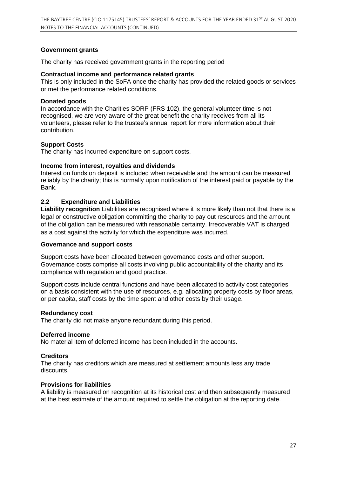#### **Government grants**

The charity has received government grants in the reporting period

#### **Contractual income and performance related grants**

This is only included in the SoFA once the charity has provided the related goods or services or met the performance related conditions.

#### **Donated goods**

In accordance with the Charities SORP (FRS 102), the general volunteer time is not recognised, we are very aware of the great benefit the charity receives from all its volunteers, please refer to the trustee's annual report for more information about their contribution.

#### **Support Costs**

The charity has incurred expenditure on support costs.

#### **Income from interest, royalties and dividends**

Interest on funds on deposit is included when receivable and the amount can be measured reliably by the charity; this is normally upon notification of the interest paid or payable by the Bank.

#### **2.2 Expenditure and Liabilities**

**Liability recognition** Liabilities are recognised where it is more likely than not that there is a legal or constructive obligation committing the charity to pay out resources and the amount of the obligation can be measured with reasonable certainty. Irrecoverable VAT is charged as a cost against the activity for which the expenditure was incurred.

#### **Governance and support costs**

Support costs have been allocated between governance costs and other support. Governance costs comprise all costs involving public accountability of the charity and its compliance with regulation and good practice.

Support costs include central functions and have been allocated to activity cost categories on a basis consistent with the use of resources, e.g. allocating property costs by floor areas, or per capita, staff costs by the time spent and other costs by their usage.

#### **Redundancy cost**

The charity did not make anyone redundant during this period.

#### **Deferred income**

No material item of deferred income has been included in the accounts.

#### **Creditors**

The charity has creditors which are measured at settlement amounts less any trade discounts.

#### **Provisions for liabilities**

A liability is measured on recognition at its historical cost and then subsequently measured at the best estimate of the amount required to settle the obligation at the reporting date.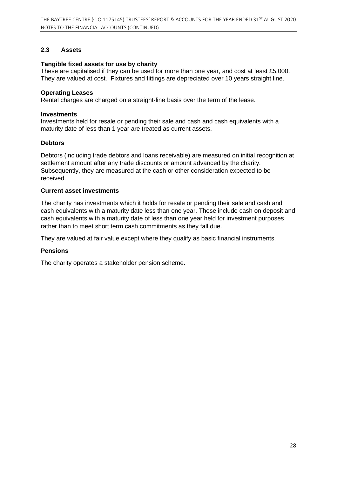#### **2.3 Assets**

#### **Tangible fixed assets for use by charity**

These are capitalised if they can be used for more than one year, and cost at least £5,000. They are valued at cost. Fixtures and fittings are depreciated over 10 years straight line.

#### **Operating Leases**

Rental charges are charged on a straight-line basis over the term of the lease.

#### **Investments**

Investments held for resale or pending their sale and cash and cash equivalents with a maturity date of less than 1 year are treated as current assets.

#### **Debtors**

Debtors (including trade debtors and loans receivable) are measured on initial recognition at settlement amount after any trade discounts or amount advanced by the charity. Subsequently, they are measured at the cash or other consideration expected to be received.

#### **Current asset investments**

The charity has investments which it holds for resale or pending their sale and cash and cash equivalents with a maturity date less than one year. These include cash on deposit and cash equivalents with a maturity date of less than one year held for investment purposes rather than to meet short term cash commitments as they fall due.

They are valued at fair value except where they qualify as basic financial instruments.

#### **Pensions**

The charity operates a stakeholder pension scheme.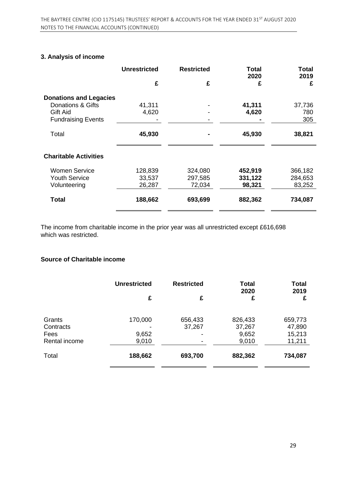# **3. Analysis of income**

| <b>Unrestricted</b> | <b>Restricted</b> | <b>Total</b><br>2020 | <b>Total</b><br>2019 |
|---------------------|-------------------|----------------------|----------------------|
| £                   | £                 | £                    | £                    |
|                     |                   |                      |                      |
| 41,311              |                   |                      | 37,736               |
|                     |                   |                      | 780                  |
|                     |                   |                      | 305                  |
| 45,930              |                   | 45,930               | 38,821               |
|                     |                   |                      |                      |
| 128,839             | 324,080           | 452,919              | 366,182              |
| 33,537              | 297,585           | 331,122              | 284,653              |
| 26,287              | 72,034            | 98,321               | 83,252               |
| 188,662             | 693,699           | 882,362              | 734,087              |
|                     | 4,620             |                      | 41,311<br>4,620      |

The income from charitable income in the prior year was all unrestricted except £616,698 which was restricted.

#### **Source of Charitable income**

|               | <b>Unrestricted</b> | <b>Restricted</b> | <b>Total</b><br>2020 | <b>Total</b><br>2019 |
|---------------|---------------------|-------------------|----------------------|----------------------|
|               | £                   | £                 | £                    | £                    |
| Grants        | 170,000             | 656,433           | 826,433              | 659,773              |
| Contracts     |                     | 37,267            | 37,267               | 47,890               |
| Fees          | 9,652               |                   | 9,652                | 15,213               |
| Rental income | 9,010               |                   | 9,010                | 11,211               |
| Total         | 188,662             | 693,700           | 882,362              | 734,087              |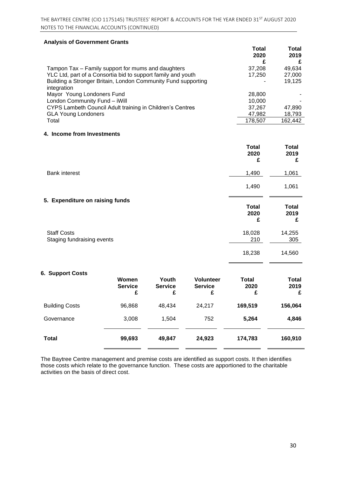#### **Analysis of Government Grants**

|                                                               | Total<br>2020 | Total<br>2019<br>£ |
|---------------------------------------------------------------|---------------|--------------------|
| Tampon Tax – Family support for mums and daughters            | 37,208        | 49,634             |
| YLC Ltd, part of a Consortia bid to support family and youth  | 17.250        | 27,000             |
| Building a Stronger Britain, London Community Fund supporting |               | 19,125             |
| integration                                                   |               |                    |
| Mayor Young Londoners Fund                                    | 28,800        |                    |
| London Community Fund - iWill                                 | 10.000        |                    |
| CYPS Lambeth Council Adult training in Children's Centres     | 37,267        | 47,890             |
| <b>GLA Young Londoners</b>                                    | 47,982        | 18,793             |
| Total                                                         | 178,507       | 162,442            |

#### **4. Income from Investments**

|                                                  | <b>Total</b><br>2020<br>£ | <b>Total</b><br>2019<br>£ |
|--------------------------------------------------|---------------------------|---------------------------|
| <b>Bank interest</b>                             | 1,490                     | 1,061                     |
|                                                  | 1,490                     | 1,061                     |
| 5. Expenditure on raising funds                  | <b>Total</b><br>2020<br>£ | <b>Total</b><br>2019<br>£ |
| <b>Staff Costs</b><br>Staging fundraising events | 18,028<br>210             | 14,255<br>305             |
|                                                  | 18,238                    | 14,560                    |

#### **6. Support Costs**

|                       | Women<br><b>Service</b><br>£ | Youth<br><b>Service</b><br>£ | <b>Volunteer</b><br><b>Service</b><br>£ | Total<br>2020<br>£ | <b>Total</b><br>2019<br>£ |
|-----------------------|------------------------------|------------------------------|-----------------------------------------|--------------------|---------------------------|
| <b>Building Costs</b> | 96,868                       | 48,434                       | 24,217                                  | 169,519            | 156,064                   |
| Governance            | 3,008                        | 1,504                        | 752                                     | 5,264              | 4,846                     |
| <b>Total</b>          | 99,693                       | 49,847                       | 24,923                                  | 174,783            | 160,910                   |

The Baytree Centre management and premise costs are identified as support costs. It then identifies those costs which relate to the governance function. These costs are apportioned to the charitable activities on the basis of direct cost.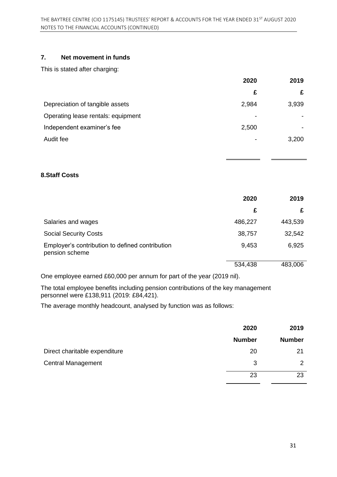# **7. Net movement in funds**

This is stated after charging:

|                                    | 2020  | 2019  |
|------------------------------------|-------|-------|
|                                    | £     |       |
| Depreciation of tangible assets    | 2,984 | 3,939 |
| Operating lease rentals: equipment | ٠     |       |
| Independent examiner's fee         | 2,500 |       |
| Audit fee                          | -     | 3,200 |

#### **8.Staff Costs**

|                                                                   | 2020    | 2019    |
|-------------------------------------------------------------------|---------|---------|
|                                                                   | £       | £       |
| Salaries and wages                                                | 486,227 | 443,539 |
| <b>Social Security Costs</b>                                      | 38,757  | 32,542  |
| Employer's contribution to defined contribution<br>pension scheme | 9,453   | 6,925   |
|                                                                   | 534,438 | 483,006 |

One employee earned £60,000 per annum for part of the year (2019 nil).

The total employee benefits including pension contributions of the key management personnel were £138,911 (2019: £84,421).

The average monthly headcount, analysed by function was as follows:

|                               | 2020          | 2019          |
|-------------------------------|---------------|---------------|
|                               | <b>Number</b> | <b>Number</b> |
| Direct charitable expenditure | 20            | 21            |
| <b>Central Management</b>     | 3             | 2             |
|                               | 23            | 23            |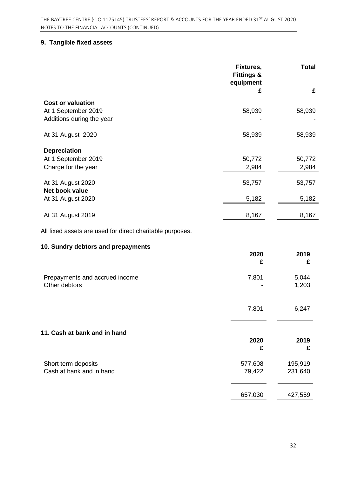# **9. Tangible fixed assets**

|                                                           | Fixtures,<br><b>Fittings &amp;</b><br>equipment | <b>Total</b>   |
|-----------------------------------------------------------|-------------------------------------------------|----------------|
|                                                           | £                                               | £              |
| <b>Cost or valuation</b><br>At 1 September 2019           | 58,939                                          | 58,939         |
| Additions during the year                                 |                                                 |                |
| At 31 August 2020                                         | 58,939                                          | 58,939         |
| <b>Depreciation</b>                                       |                                                 |                |
| At 1 September 2019                                       | 50,772                                          | 50,772         |
| Charge for the year                                       | 2,984                                           | 2,984          |
| At 31 August 2020<br>Net book value                       | 53,757                                          | 53,757         |
| At 31 August 2020                                         | 5,182                                           | 5,182          |
| At 31 August 2019                                         | 8,167                                           | 8,167          |
| All fixed assets are used for direct charitable purposes. |                                                 |                |
| 10. Sundry debtors and prepayments                        |                                                 |                |
|                                                           | 2020<br>£                                       | 2019<br>£      |
|                                                           |                                                 |                |
| Prepayments and accrued income<br>Other debtors           | 7,801                                           | 5,044<br>1,203 |
|                                                           | 7,801                                           | 6,247          |
|                                                           |                                                 |                |
| 11. Cash at bank and in hand                              | 2020                                            | 2019           |
|                                                           | £                                               | £              |
| Short term deposits                                       | 577,608                                         | 195,919        |
| Cash at bank and in hand                                  | 79,422                                          | 231,640        |
|                                                           | 657,030                                         | 427,559        |
|                                                           |                                                 |                |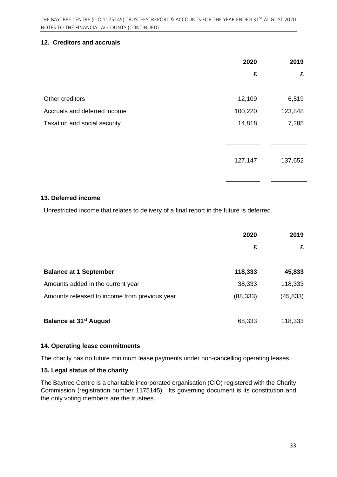#### **12. Creditors and accruals**

|                              | 2020    | 2019    |
|------------------------------|---------|---------|
|                              | £       | £       |
|                              |         |         |
| Other creditors              | 12,109  | 6,519   |
| Accruals and deferred income | 100,220 | 123,848 |
| Taxation and social security | 14,818  | 7,285   |
|                              |         |         |
|                              |         |         |
|                              | 127,147 | 137,652 |
|                              |         |         |

#### **13. Deferred income**

Unrestricted income that relates to delivery of a final report in the future is deferred.

|                                               | 2020      | 2019     |
|-----------------------------------------------|-----------|----------|
|                                               | £         | £        |
| <b>Balance at 1 September</b>                 | 118,333   | 45,833   |
| Amounts added in the current year             | 38,333    | 118,333  |
| Amounts released to income from previous year | (88, 333) | (45,833) |
| <b>Balance at 31<sup>st</sup> August</b>      | 68,333    | 118,333  |

#### **14. Operating lease commitments**

The charity has no future minimum lease payments under non-cancelling operating leases.

#### **15. Legal status of the charity**

The Baytree Centre is a charitable incorporated organisation (CIO) registered with the Charity Commission (registration number 1175145). Its governing document is its constitution and the only voting members are the trustees.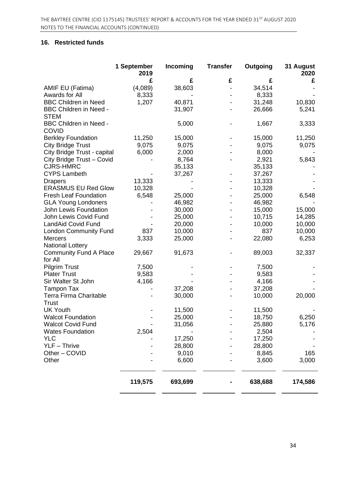#### **16. Restricted funds**

|                               | 1 September<br>2019 | Incoming | <b>Transfer</b> | Outgoing | 31 August<br>2020 |
|-------------------------------|---------------------|----------|-----------------|----------|-------------------|
|                               | £                   | £        | £               | £        | £                 |
| AMIF EU (Fatima)              | (4,089)             | 38,603   |                 | 34,514   |                   |
| Awards for All                | 8,333               |          |                 | 8,333    |                   |
| <b>BBC Children in Need</b>   | 1,207               | 40,871   |                 | 31,248   | 10,830            |
| <b>BBC Children in Need -</b> |                     | 31,907   |                 | 26,666   | 5,241             |
| <b>STEM</b>                   |                     |          |                 |          |                   |
| <b>BBC Children in Need -</b> |                     | 5,000    |                 | 1,667    | 3,333             |
| <b>COVID</b>                  |                     |          |                 |          |                   |
| <b>Berkley Foundation</b>     | 11,250              | 15,000   |                 | 15,000   | 11,250            |
| <b>City Bridge Trust</b>      | 9,075               | 9,075    |                 | 9,075    | 9,075             |
| City Bridge Trust - capital   | 6,000               | 2,000    |                 | 8,000    |                   |
| City Bridge Trust - Covid     |                     | 8,764    |                 | 2,921    | 5,843             |
| <b>CJRS-HMRC</b>              |                     | 35,133   |                 | 35,133   |                   |
| <b>CYPS Lambeth</b>           |                     | 37,267   |                 | 37,267   |                   |
| <b>Drapers</b>                | 13,333              |          |                 | 13,333   |                   |
| <b>ERASMUS EU Red Glow</b>    | 10,328              |          |                 | 10,328   |                   |
| <b>Fresh Leaf Foundation</b>  | 6,548               | 25,000   |                 | 25,000   | 6,548             |
| <b>GLA Young Londoners</b>    |                     | 46,982   |                 | 46,982   |                   |
| John Lewis Foundation         |                     | 30,000   |                 | 15,000   | 15,000            |
| John Lewis Covid Fund         |                     | 25,000   |                 | 10,715   | 14,285            |
| LandAid Covid Fund            |                     | 20,000   |                 | 10,000   | 10,000            |
| <b>London Community Fund</b>  | 837                 | 10,000   |                 | 837      | 10,000            |
| <b>Mercers</b>                | 3,333               | 25,000   |                 | 22,080   | 6,253             |
| <b>National Lottery</b>       |                     |          |                 |          |                   |
| <b>Community Fund A Place</b> | 29,667              | 91,673   |                 | 89,003   | 32,337            |
| for All                       |                     |          |                 |          |                   |
| <b>Pilgrim Trust</b>          | 7,500               |          |                 | 7,500    |                   |
| <b>Plater Trust</b>           | 9,583               |          |                 | 9,583    |                   |
| Sir Walter St John            | 4,166               |          |                 | 4,166    |                   |
| <b>Tampon Tax</b>             |                     | 37,208   |                 | 37,208   |                   |
| <b>Terra Firma Charitable</b> |                     | 30,000   |                 | 10,000   | 20,000            |
| <b>Trust</b>                  |                     |          |                 |          |                   |
| <b>UK Youth</b>               |                     | 11,500   |                 | 11,500   |                   |
| <b>Walcot Foundation</b>      |                     | 25,000   |                 | 18,750   | 6,250             |
| <b>Walcot Covid Fund</b>      |                     | 31,056   |                 | 25,880   | 5,176             |
| <b>Wates Foundation</b>       | 2,504               |          |                 | 2,504    |                   |
| <b>YLC</b>                    |                     | 17,250   |                 | 17,250   |                   |
| $YLF - Thrive$                |                     | 28,800   |                 | 28,800   |                   |
| Other - COVID                 |                     | 9,010    |                 | 8,845    | 165               |
| Other                         |                     | 6,600    |                 | 3,600    | 3,000             |
|                               |                     |          |                 |          |                   |
|                               | 119,575             | 693,699  |                 | 638,688  | 174,586           |
|                               |                     |          |                 |          |                   |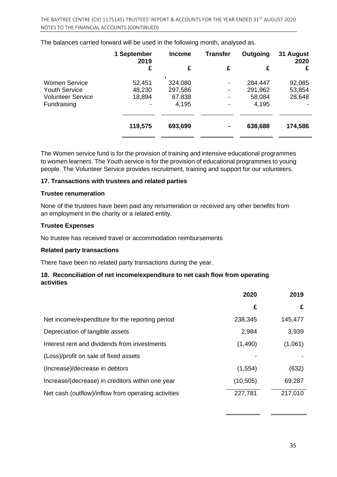|                          | 1 September<br>2019 | <b>Income</b> | <b>Transfer</b> | Outgoing | 31 August<br>2020 |
|--------------------------|---------------------|---------------|-----------------|----------|-------------------|
|                          | £                   | £             | £               | £        | £                 |
| <b>Women Service</b>     | 52,451              | 324,080       |                 | 284,447  | 92,085            |
| <b>Youth Service</b>     | 48,230              | 297,586       |                 | 291,962  | 53,854            |
| <b>Volunteer Service</b> | 18,894              | 67,838        |                 | 58,084   | 28,648            |
| Fundraising              |                     | 4,195         |                 | 4,195    |                   |
|                          |                     |               |                 |          |                   |
|                          | 119,575             | 693,699       | ٠               | 638,688  | 174,586           |
|                          |                     |               |                 |          |                   |

The balances carried forward will be used in the following month, analysed as.

The Women service fund is for the provision of training and intensive educational programmes to women learners. The Youth service is for the provision of educational programmes to young people. The Volunteer Service provides recruitment, training and support for our volunteers.

#### **17. Transactions with trustees and related parties**

#### **Trustee renumeration**

None of the trustees have been paid any renumeration or received any other benefits from an employment in the charity or a related entity.

#### **Trustee Expenses**

No trustee has received travel or accommodation reimbursements

#### **Related party transactions**

There have been no related party transactions during the year.

#### **18. Reconciliation of net income/expenditure to net cash flow from operating activities**

|                                                     | 2020      | 2019    |
|-----------------------------------------------------|-----------|---------|
|                                                     | £         | £       |
| Net income/expenditure for the reporting period     | 238,345   | 145,477 |
| Depreciation of tangible assets                     | 2,984     | 3,939   |
| Interest rent and dividends from investments        | (1, 490)  | (1,061) |
| (Loss)/profit on sale of fixed assets               |           |         |
| (Increase)/decrease in debtors                      | (1, 554)  | (632)   |
| Increase/(decrease) in creditors within one year    | (10, 505) | 69,287  |
| Net cash (outflow)/inflow from operating activities | 227,781   | 217,010 |